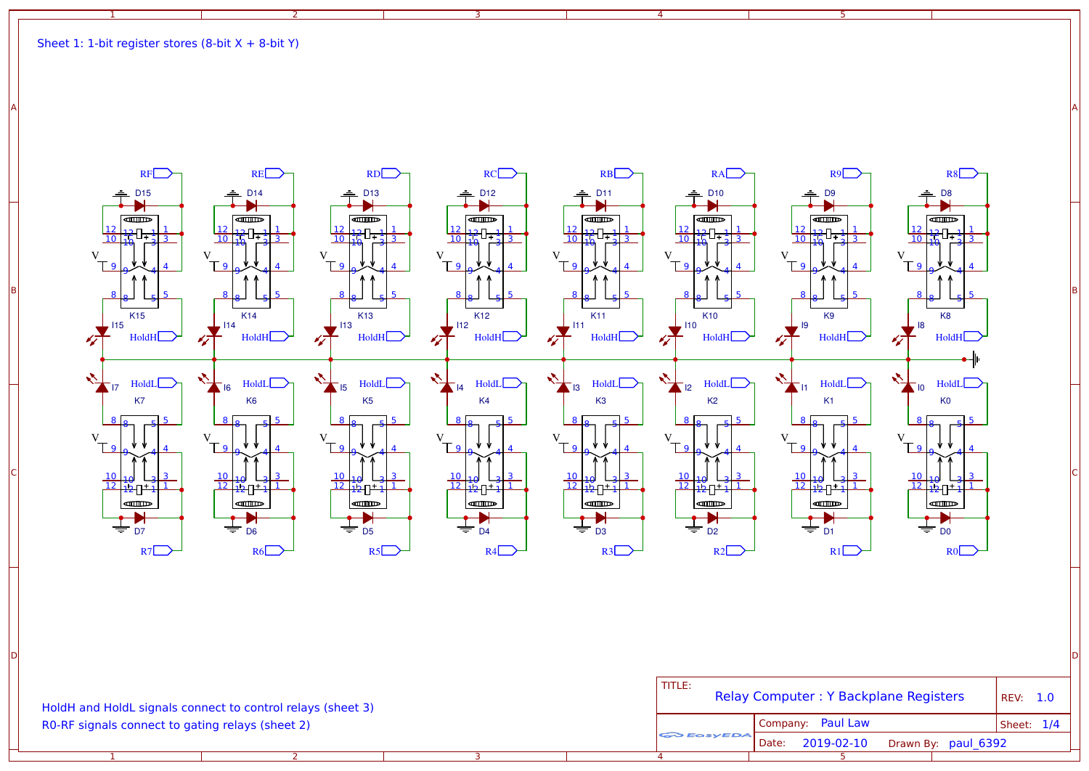



A A

| HoldH and HoldL signals connect to control relays (sheet 3)<br>R0-RF signals connect to gating relays (sheet 2) |  |  |  | l title:<br>Relay Computer: Y Backplane Registers |                     |                     | <b>REV: 1.0</b> |
|-----------------------------------------------------------------------------------------------------------------|--|--|--|---------------------------------------------------|---------------------|---------------------|-----------------|
|                                                                                                                 |  |  |  | <b>CO EGSYEDA</b>                                 | Company: Paul Law   |                     | Sheet: $1/4$    |
|                                                                                                                 |  |  |  |                                                   | 2019-02-10<br>Date: | Drawn By: paul 6392 |                 |
|                                                                                                                 |  |  |  |                                                   |                     |                     |                 |

D I DIRECT A REPORT OF THE CHARGE OF THE CHARGE OF THE CHARGE OF THE CHARGE OF THE CHARGE OF THE CHARGE OF THE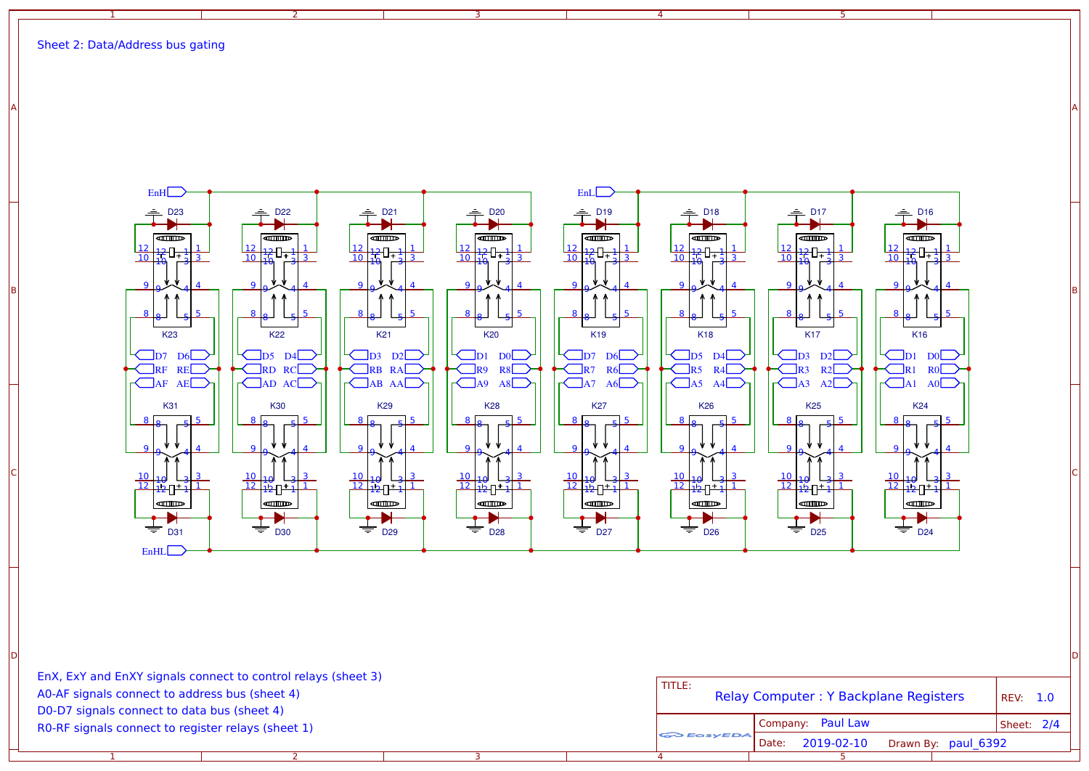2

1



D I DIRECT A REPORT OF THE CHARGE OF THE CHARGE OF THE CHARGE OF THE CHARGE OF THE CHARGE OF THE CHARGE OF THE

3

A A

4

3

R0-RF signals connect to register relays (sheet 1) D0-D7 signals connect to data bus (sheet 4) A0-AF signals connect to address bus (sheet 4) EnX, ExY and EnXY signals connect to control relays (sheet 3)

2

1

| TITI F:<br>Relay Computer: Y Backplane Registers | REV: 1.0                                |            |
|--------------------------------------------------|-----------------------------------------|------------|
|                                                  | Company: Paul Law                       | Sheet: 2/4 |
| <b>GO EASYEDA</b>                                | Date: 2019-02-10<br>Drawn By: paul 6392 |            |
| 4                                                |                                         |            |

5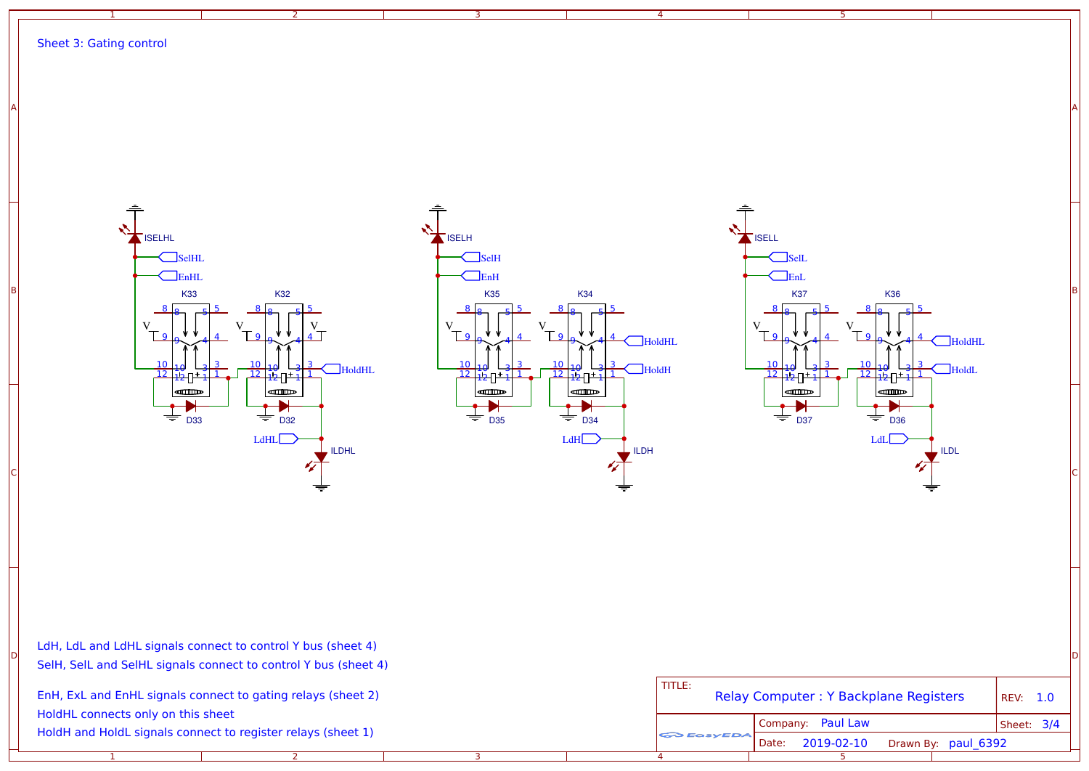